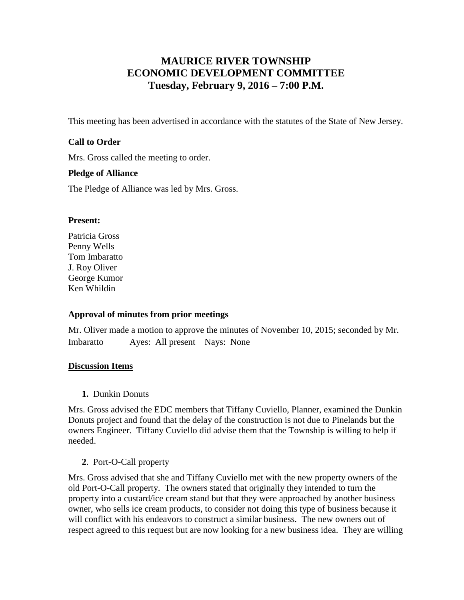# **MAURICE RIVER TOWNSHIP ECONOMIC DEVELOPMENT COMMITTEE Tuesday, February 9, 2016 – 7:00 P.M.**

This meeting has been advertised in accordance with the statutes of the State of New Jersey.

### **Call to Order**

Mrs. Gross called the meeting to order.

#### **Pledge of Alliance**

The Pledge of Alliance was led by Mrs. Gross.

#### **Present:**

Patricia Gross Penny Wells Tom Imbaratto J. Roy Oliver George Kumor Ken Whildin

# **Approval of minutes from prior meetings**

Mr. Oliver made a motion to approve the minutes of November 10, 2015; seconded by Mr. Imbaratto Ayes: All present Nays: None

#### **Discussion Items**

**1.** Dunkin Donuts

Mrs. Gross advised the EDC members that Tiffany Cuviello, Planner, examined the Dunkin Donuts project and found that the delay of the construction is not due to Pinelands but the owners Engineer. Tiffany Cuviello did advise them that the Township is willing to help if needed.

# **2**. Port-O-Call property

Mrs. Gross advised that she and Tiffany Cuviello met with the new property owners of the old Port-O-Call property. The owners stated that originally they intended to turn the property into a custard/ice cream stand but that they were approached by another business owner, who sells ice cream products, to consider not doing this type of business because it will conflict with his endeavors to construct a similar business. The new owners out of respect agreed to this request but are now looking for a new business idea. They are willing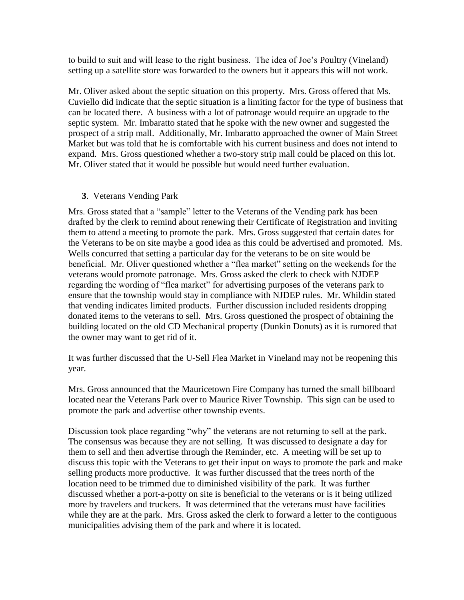to build to suit and will lease to the right business. The idea of Joe's Poultry (Vineland) setting up a satellite store was forwarded to the owners but it appears this will not work.

Mr. Oliver asked about the septic situation on this property. Mrs. Gross offered that Ms. Cuviello did indicate that the septic situation is a limiting factor for the type of business that can be located there. A business with a lot of patronage would require an upgrade to the septic system. Mr. Imbaratto stated that he spoke with the new owner and suggested the prospect of a strip mall. Additionally, Mr. Imbaratto approached the owner of Main Street Market but was told that he is comfortable with his current business and does not intend to expand. Mrs. Gross questioned whether a two-story strip mall could be placed on this lot. Mr. Oliver stated that it would be possible but would need further evaluation.

#### **3**. Veterans Vending Park

Mrs. Gross stated that a "sample" letter to the Veterans of the Vending park has been drafted by the clerk to remind about renewing their Certificate of Registration and inviting them to attend a meeting to promote the park. Mrs. Gross suggested that certain dates for the Veterans to be on site maybe a good idea as this could be advertised and promoted. Ms. Wells concurred that setting a particular day for the veterans to be on site would be beneficial. Mr. Oliver questioned whether a "flea market" setting on the weekends for the veterans would promote patronage. Mrs. Gross asked the clerk to check with NJDEP regarding the wording of "flea market" for advertising purposes of the veterans park to ensure that the township would stay in compliance with NJDEP rules. Mr. Whildin stated that vending indicates limited products. Further discussion included residents dropping donated items to the veterans to sell. Mrs. Gross questioned the prospect of obtaining the building located on the old CD Mechanical property (Dunkin Donuts) as it is rumored that the owner may want to get rid of it.

It was further discussed that the U-Sell Flea Market in Vineland may not be reopening this year.

Mrs. Gross announced that the Mauricetown Fire Company has turned the small billboard located near the Veterans Park over to Maurice River Township. This sign can be used to promote the park and advertise other township events.

Discussion took place regarding "why" the veterans are not returning to sell at the park. The consensus was because they are not selling. It was discussed to designate a day for them to sell and then advertise through the Reminder, etc. A meeting will be set up to discuss this topic with the Veterans to get their input on ways to promote the park and make selling products more productive. It was further discussed that the trees north of the location need to be trimmed due to diminished visibility of the park. It was further discussed whether a port-a-potty on site is beneficial to the veterans or is it being utilized more by travelers and truckers. It was determined that the veterans must have facilities while they are at the park. Mrs. Gross asked the clerk to forward a letter to the contiguous municipalities advising them of the park and where it is located.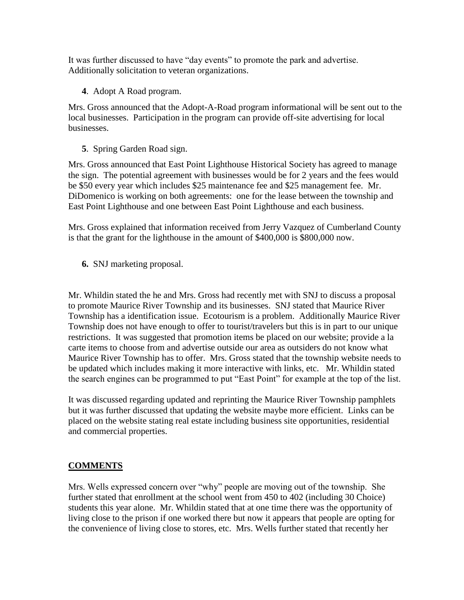It was further discussed to have "day events" to promote the park and advertise. Additionally solicitation to veteran organizations.

**4**. Adopt A Road program.

Mrs. Gross announced that the Adopt-A-Road program informational will be sent out to the local businesses. Participation in the program can provide off-site advertising for local businesses.

**5**. Spring Garden Road sign.

Mrs. Gross announced that East Point Lighthouse Historical Society has agreed to manage the sign. The potential agreement with businesses would be for 2 years and the fees would be \$50 every year which includes \$25 maintenance fee and \$25 management fee. Mr. DiDomenico is working on both agreements: one for the lease between the township and East Point Lighthouse and one between East Point Lighthouse and each business.

Mrs. Gross explained that information received from Jerry Vazquez of Cumberland County is that the grant for the lighthouse in the amount of \$400,000 is \$800,000 now.

 **6.** SNJ marketing proposal.

Mr. Whildin stated the he and Mrs. Gross had recently met with SNJ to discuss a proposal to promote Maurice River Township and its businesses. SNJ stated that Maurice River Township has a identification issue. Ecotourism is a problem. Additionally Maurice River Township does not have enough to offer to tourist/travelers but this is in part to our unique restrictions. It was suggested that promotion items be placed on our website; provide a la carte items to choose from and advertise outside our area as outsiders do not know what Maurice River Township has to offer. Mrs. Gross stated that the township website needs to be updated which includes making it more interactive with links, etc. Mr. Whildin stated the search engines can be programmed to put "East Point" for example at the top of the list.

It was discussed regarding updated and reprinting the Maurice River Township pamphlets but it was further discussed that updating the website maybe more efficient. Links can be placed on the website stating real estate including business site opportunities, residential and commercial properties.

# **COMMENTS**

Mrs. Wells expressed concern over "why" people are moving out of the township. She further stated that enrollment at the school went from 450 to 402 (including 30 Choice) students this year alone. Mr. Whildin stated that at one time there was the opportunity of living close to the prison if one worked there but now it appears that people are opting for the convenience of living close to stores, etc. Mrs. Wells further stated that recently her